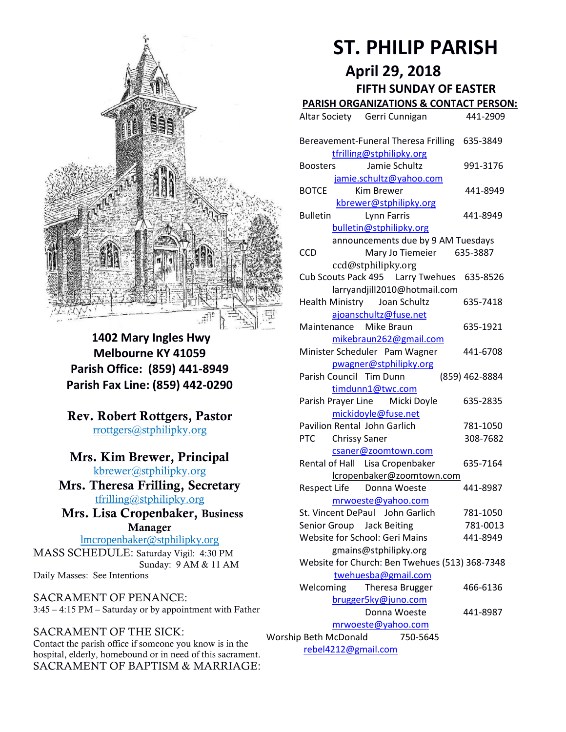

**1402 Mary Ingles Hwy Melbourne KY 41059 Parish Office: (859) 441-8949 Parish Fax Line: (859) 442-0290**

**Rev. Robert Rottgers, Pastor**  [rrottgers@stphilipky.org](mailto:rrottgers@stphilipky.org)

## **Mrs. Kim Brewer, Principal**

[kbrewer@stphilipky.org](mailto:kbrewer@stphilipky.org) **Mrs. Theresa Frilling, Secretary**  [tfrilling@stphilipky.org](mailto:tfrilling@stphilipky.org)

 **Mrs. Lisa Cropenbaker, Business Manager** 

lmcropenbaker@stphilipky.org MASS SCHEDULE: Saturday Vigil: 4:30 PM Sunday: 9 AM & 11 AM Daily Masses: See Intentions

SACRAMENT OF PENANCE: 3:45 – 4:15 PM – Saturday or by appointment with Father

#### SACRAMENT OF THE SICK:

Contact the parish office if someone you know is in the hospital, elderly, homebound or in need of this sacrament. SACRAMENT OF BAPTISM & MARRIAGE:

# **ST. PHILIP PARISH**

**April 29, 2018**

#### **FIFTH SUNDAY OF EASTER**

**PARISH ORGANIZATIONS & CONTACT PERSON:**

|                                                | <u>FANISH UNGANIZATIONS &amp; CONTACT FENSON.</u>                         |                |
|------------------------------------------------|---------------------------------------------------------------------------|----------------|
|                                                | Altar Society Gerri Cunnigan                                              | 441-2909       |
|                                                | Bereavement-Funeral Theresa Frilling 635-3849<br>tfrilling@stphilipky.org |                |
|                                                | Jamie Schultz<br><b>Boosters</b>                                          | 991-3176       |
| jamie.schultz@yahoo.com                        |                                                                           |                |
|                                                | <b>BOTCE</b><br>Kim Brewer                                                | 441-8949       |
|                                                | kbrewer@stphilipky.org                                                    |                |
|                                                | <b>Bulletin</b><br><b>Lynn Farris</b>                                     | 441-8949       |
|                                                | bulletin@stphilipky.org                                                   |                |
|                                                | announcements due by 9 AM Tuesdays                                        |                |
|                                                | Mary Jo Tiemeier 635-3887<br><b>CCD</b>                                   |                |
|                                                | ccd@stphilipky.org                                                        |                |
|                                                | Cub Scouts Pack 495   Larry Twehues                                       | 635-8526       |
|                                                | larryandjill2010@hotmail.com                                              |                |
|                                                | Health Ministry Joan Schultz                                              | 635-7418       |
|                                                | ajoanschultz@fuse.net                                                     |                |
|                                                | Maintenance Mike Braun                                                    | 635-1921       |
|                                                | mikebraun262@gmail.com                                                    |                |
|                                                | Minister Scheduler Pam Wagner                                             | 441-6708       |
|                                                | pwagner@stphilipky.org                                                    |                |
|                                                | Parish Council Tim Dunn                                                   | (859) 462-8884 |
|                                                | timdunn1@twc.com                                                          |                |
|                                                | Parish Prayer Line Micki Doyle                                            | 635-2835       |
|                                                | mickidoyle@fuse.net                                                       |                |
|                                                | Pavilion Rental John Garlich                                              | 781-1050       |
|                                                | <b>PTC</b><br><b>Chrissy Saner</b>                                        | 308-7682       |
|                                                | csaner@zoomtown.com                                                       |                |
|                                                | Rental of Hall Lisa Cropenbaker                                           | 635-7164       |
|                                                | lcropenbaker@zoomtown.com                                                 |                |
|                                                | <b>Respect Life</b><br>Donna Woeste                                       | 441-8987       |
|                                                | mrwoeste@yahoo.com                                                        |                |
|                                                | St. Vincent DePaul John Garlich                                           | 781-1050       |
|                                                | Senior Group Jack Beiting                                                 | 781-0013       |
|                                                | Website for School: Geri Mains                                            | 441-8949       |
|                                                | gmains@stphilipky.org                                                     |                |
| Website for Church: Ben Twehues (513) 368-7348 |                                                                           |                |
| twehuesba@gmail.com                            |                                                                           |                |
|                                                | Welcoming<br><b>Theresa Brugger</b>                                       | 466-6136       |
|                                                | brugger5ky@juno.com                                                       |                |
|                                                | Donna Woeste                                                              | 441-8987       |
| mrwoeste@yahoo.com                             |                                                                           |                |
| Worship Beth McDonald<br>750-5645              |                                                                           |                |
| rebel4212@gmail.com                            |                                                                           |                |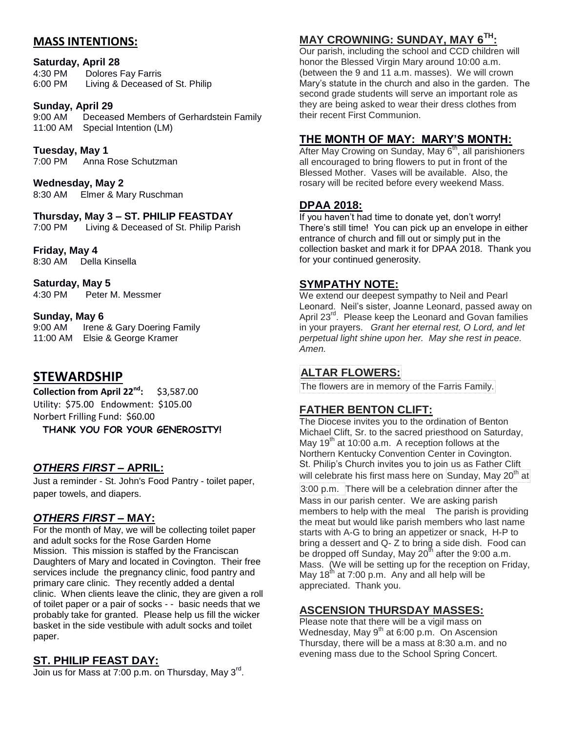#### **MASS INTENTIONS:**

#### **Saturday, April 28**

4:30 PM Dolores Fay Farris 6:00 PM Living & Deceased of St. Philip

#### **Sunday, April 29**

9:00 AM Deceased Members of Gerhardstein Family 11:00 AM Special Intention (LM)

**Tuesday, May 1** 7:00 PM Anna Rose Schutzman

**Wednesday, May 2**

8:30 AM Elmer & Mary Ruschman

#### **Thursday, May 3 – ST. PHILIP FEASTDAY**

7:00 PM Living & Deceased of St. Philip Parish

**Friday, May 4** 8:30 AM Della Kinsella

**Saturday, May 5** 4:30 PM Peter M. Messmer

**Sunday, May 6** 

9:00 AM Irene & Gary Doering Family 11:00 AM Elsie & George Kramer

# **STEWARDSHIP**

**Collection from April 22nd:** \$3,587.00 Utility: \$75.00 Endowment: \$105.00 Norbert Frilling Fund: \$60.00 **THANK YOU FOR YOUR GENEROSITY!** 

# *OTHERS FIRST –* **APRIL:**

Just a reminder - St. John's Food Pantry - toilet paper, paper towels, and diapers.

#### *OTHERS FIRST –* **MAY:**

For the month of May, we will be collecting toilet paper and adult socks for the Rose Garden Home Mission. This mission is staffed by the Franciscan Daughters of Mary and located in Covington. Their free services include the pregnancy clinic, food pantry and primary care clinic. They recently added a dental clinic. When clients leave the clinic, they are given a roll of toilet paper or a pair of socks - - basic needs that we probably take for granted. Please help us fill the wicker basket in the side vestibule with adult socks and toilet paper.

#### **ST. PHILIP FEAST DAY:**

Join us for Mass at 7:00 p.m. on Thursday, May 3<sup>rd</sup>.

# **MAY CROWNING: SUNDAY, MAY 6TH:**

Our parish, including the school and CCD children will honor the Blessed Virgin Mary around 10:00 a.m. (between the 9 and 11 a.m. masses). We will crown Mary's statute in the church and also in the garden. The second grade students will serve an important role as they are being asked to wear their dress clothes from their recent First Communion.

## **THE MONTH OF MAY: MARY'S MONTH:**

After May Crowing on Sunday, May 6<sup>th</sup>, all parishioners all encouraged to bring flowers to put in front of the Blessed Mother. Vases will be available. Also, the rosary will be recited before every weekend Mass.

#### **DPAA 2018:**

If you haven't had time to donate yet, don't worry! There's still time! You can pick up an envelope in either entrance of church and fill out or simply put in the collection basket and mark it for DPAA 2018. Thank you for your continued generosity.

#### **SYMPATHY NOTE:**

We extend our deepest sympathy to Neil and Pearl Leonard. Neil's sister, Joanne Leonard, passed away on April 23<sup>rd</sup>. Please keep the Leonard and Govan families in your prayers. *Grant her eternal rest, O Lord, and let perpetual light shine upon her. May she rest in peace. Amen.* 

#### **ALTAR FLOWERS:**

The flowers are in memory of the Farris Family.

#### **FATHER BENTON CLIFT:**

The Diocese invites you to the ordination of Benton Michael Clift, Sr. to the sacred priesthood on Saturday, May  $19<sup>th</sup>$  at 10:00 a.m. A reception follows at the Northern Kentucky Convention Center in Covington. St. Philip's Church invites you to join us as Father Clift will celebrate his first mass here on Sunday, May 20<sup>th</sup> at

3:00 p.m. There will be a celebration dinner after the Mass in our parish center. We are asking parish members to help with the meal The parish is providing the meat but would like parish members who last name starts with A-G to bring an appetizer or snack, H-P to bring a dessert and Q- Z to bring a side dish. Food can be dropped off Sunday, May 20 $^{th}$  after the 9:00 a.m. Mass. (We will be setting up for the reception on Friday, May  $18<sup>th</sup>$  at 7:00 p.m. Any and all help will be appreciated. Thank you.

#### **ASCENSION THURSDAY MASSES:**

Please note that there will be a vigil mass on Wednesday, May  $9<sup>th</sup>$  at 6:00 p.m. On Ascension Thursday, there will be a mass at 8:30 a.m. and no evening mass due to the School Spring Concert.